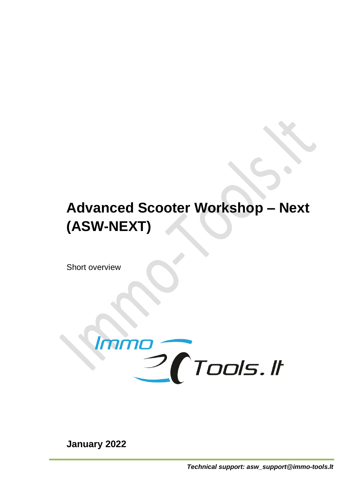# **Advanced Scooter Workshop – Next (ASW-NEXT)**

Short overview



**January 2022**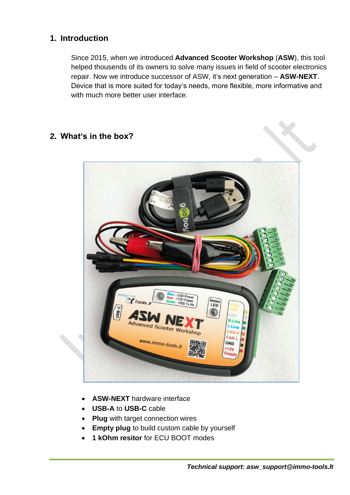# **1. Introduction**

Since 2015, when we introduced **Advanced Scooter Workshop** (**ASW**), this tool helped thousends of its owners to solve many issues in field of scooter electronics repair. Now we introduce successor of ASW, it's next generation – **ASW-NEXT**. Device that is more suited for today's needs, more flexible, more informative and with much more better user interface.

# **2. What's in the box?**



- **ASW-NEXT** hardware interface
- **USB-A** to **USB-C** cable
- **Plug** with target connection wires
- **Empty plug** to build custom cable by yourself
- **1 kOhm resitor** for ECU BOOT modes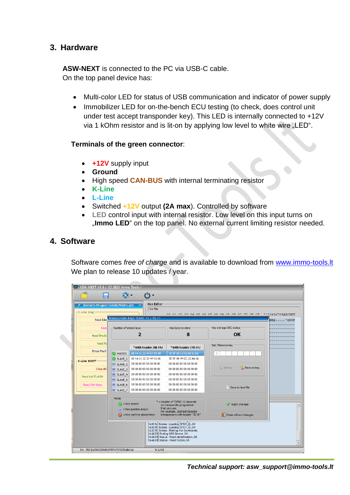# **3. Hardware**

**ASW-NEXT** is connected to the PC via USB-C cable. On the top panel device has:

- Multi-color LED for status of USB communication and indicator of power supply
- Immobilizer LED for on-the-bench ECU testing (to check, does control unit under test accept transponder key). This LED is internally connected to +12V via 1 kOhm resistor and is lit-on by applying low level to white wire "LED".

#### **Terminals of the green connector**:

- **+12V** supply input
- **Ground**
- High speed **CAN-BUS** with internal terminating resistor
- **K-Line**
- **L-Line**
- Switched **+12V** output **(2A max**). Controlled by software
- **LED** control input with internal resistor. Low level on this input turns on "Immo LED" on the top panel. No external current limiting resistor needed.

### **4. Software**

Software comes *free of charge* and is available to download from [www.immo-tools.lt](http://www.immo-tools.lt/) We plan to release 10 updates / year.

| <b>Hex Editor</b><br>Dell'orto Peugeot Satelis/Metro 400<br>$\checkmark$<br>No File<br>∈K-Line Diag−<br>00.01.02.03.04.05.06.07.08.09.03.0B.0C.0D.0F.0F.0123456789ABCDEF |                                                                           |                                                                                                                                                                                |                                                                                                                                                                                                                                                       |                                       |  |  |  |
|--------------------------------------------------------------------------------------------------------------------------------------------------------------------------|---------------------------------------------------------------------------|--------------------------------------------------------------------------------------------------------------------------------------------------------------------------------|-------------------------------------------------------------------------------------------------------------------------------------------------------------------------------------------------------------------------------------------------------|---------------------------------------|--|--|--|
| Transponder Keys TEMIC-11 / T5-11<br>Read Idea                                                                                                                           |                                                                           |                                                                                                                                                                                |                                                                                                                                                                                                                                                       |                                       |  |  |  |
| Read                                                                                                                                                                     | Number of stored keys                                                     |                                                                                                                                                                                | Max keys to store                                                                                                                                                                                                                                     | Key storage CRC status                |  |  |  |
| <b>Read Emula</b>                                                                                                                                                        | 2                                                                         |                                                                                                                                                                                | 8                                                                                                                                                                                                                                                     | OK                                    |  |  |  |
| Read ful                                                                                                                                                                 |                                                                           | *With header /BE FA/                                                                                                                                                           | *With header /7D 5F/                                                                                                                                                                                                                                  | -Set / Remove key                     |  |  |  |
| <b>Erase Fault</b>                                                                                                                                                       | MASTER                                                                    | BE FA 01 23 45 67 89 AB                                                                                                                                                        | 7D 5F 80 C4 A2 E6 91 D5                                                                                                                                                                                                                               |                                       |  |  |  |
| K-Line BOOT-                                                                                                                                                             | SLAVE 1                                                                   | BF FA 01 22 33 44 55 66                                                                                                                                                        | 7D 5F 80 44 CC 22 AA 66                                                                                                                                                                                                                               |                                       |  |  |  |
|                                                                                                                                                                          | $\infty$ SLAVE 2                                                          | 00 00 00 00 00 00 00 00                                                                                                                                                        | 00 00 00 00 00 00 00 00                                                                                                                                                                                                                               |                                       |  |  |  |
| Close BC                                                                                                                                                                 | $\mathsf{R}$ SLAVE 3                                                      | 00 00 00 00 00 00 00 00                                                                                                                                                        | 00 00 00 00 00 00 00 00                                                                                                                                                                                                                               | <b>Remove key</b><br><b>B</b> Set key |  |  |  |
| Read full FLASH                                                                                                                                                          | $(X)$ SLAVE $4$                                                           | 00 00 00 00 00 00 00 00                                                                                                                                                        | 00 00 00 00 00 00 00 00                                                                                                                                                                                                                               |                                       |  |  |  |
|                                                                                                                                                                          | $(x)$ SLAVE 5                                                             | 00 00 00 00 00 00 00 00                                                                                                                                                        | 00 00 00 00 00 00 00 00                                                                                                                                                                                                                               |                                       |  |  |  |
| Read/Set Keys                                                                                                                                                            | $(X)$ SLAVE 6                                                             | 00 00 00 00 00 00 00 00                                                                                                                                                        | 00 00 00 00 00 00 00 00                                                                                                                                                                                                                               |                                       |  |  |  |
|                                                                                                                                                                          | $\mathsf{\times}$ SLAVE_7                                                 | 00 00 00 00 00 00 00 00                                                                                                                                                        | 00 00 00 00 00 00 00 00                                                                                                                                                                                                                               | Save to text file                     |  |  |  |
|                                                                                                                                                                          | Notes                                                                     | * = Header of TEMIC-11 depends<br>$\bullet$ = Key stored<br>on transponder programmer<br>that you use.<br>$(\mathbf{x})$ = Key position empty<br>For example, Zed-Bull decodes |                                                                                                                                                                                                                                                       | Apply changes                         |  |  |  |
|                                                                                                                                                                          | $\bigcirc$ = Key can't be stored here<br>transponders with header "7D 5F" |                                                                                                                                                                                |                                                                                                                                                                                                                                                       | <b>B</b> Close without changes        |  |  |  |
|                                                                                                                                                                          |                                                                           |                                                                                                                                                                                | [16:33:14] Status : Loading (STEP_2) OK<br>[16:33:15] Status : Loading (STEP_3) OK<br>[16:33:15] Status : Waiting For Commands<br>[16:40:29] Finding USB Device: OK<br>[16:40:30] Status : Read identification OK<br>[16:40:30] Status : Read FLASHOK |                                       |  |  |  |

*Technical support: asw\_support@immo-tools.lt*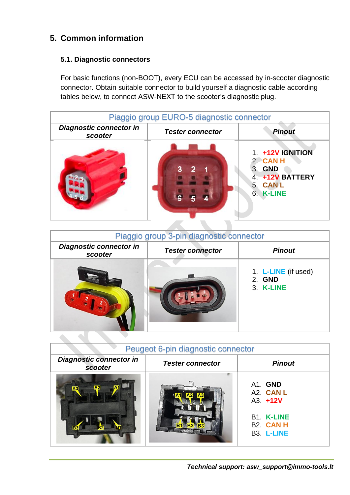# **5. Common information**

 $\sim$   $\sim$ 

# **5.1. Diagnostic connectors**

For basic functions (non-BOOT), every ECU can be accessed by in-scooter diagnostic connector. Obtain suitable connector to build yourself a diagnostic cable according tables below, to connect ASW-NEXT to the scooter's diagnostic plug.

| Piaggio group EURO-5 diagnostic connector |                         |                                                                                   |  |  |  |  |
|-------------------------------------------|-------------------------|-----------------------------------------------------------------------------------|--|--|--|--|
| <b>Diagnostic connector in</b><br>scooter | <b>Tester connector</b> | <b>Pinout</b>                                                                     |  |  |  |  |
|                                           |                         | 1. +12V IGNITION<br>2. CAN H<br>3. GND<br>4. +12V BATTERY<br>5. CANL<br>6. K-LINE |  |  |  |  |

| Piaggio group 3-pin diagnostic connector |                         |                                            |  |  |  |  |
|------------------------------------------|-------------------------|--------------------------------------------|--|--|--|--|
| Diagnostic connector in<br>scooter       | <b>Tester connector</b> | <b>Pinout</b>                              |  |  |  |  |
|                                          |                         | 1. L-LINE (if used)<br>2. GND<br>3. K-LINE |  |  |  |  |

| Peugeot 6-pin diagnostic connector                        |                         |                                                                                           |  |  |  |  |
|-----------------------------------------------------------|-------------------------|-------------------------------------------------------------------------------------------|--|--|--|--|
| <b>Diagnostic connector in</b><br>scooter                 | <b>Tester connector</b> | <b>Pinout</b>                                                                             |  |  |  |  |
| $\mathbf{A2}$<br>IA3<br><b>B1</b><br>R <sub>2</sub><br>B. | A <sub>3</sub>          | A1. GND<br>A2. CAN L<br>$A3. +12V$<br><b>B1. K-LINE</b><br><b>B2. CAN H</b><br>B3. L-LINE |  |  |  |  |

*Technical support: asw\_support@immo-tools.lt*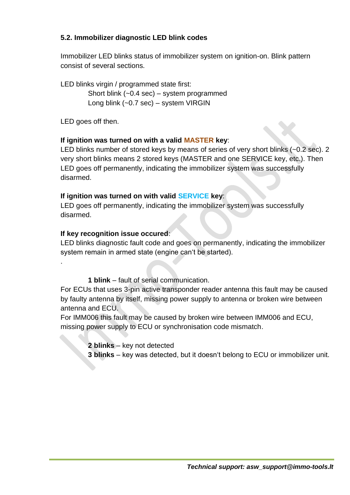# **5.2. Immobilizer diagnostic LED blink codes**

Immobilizer LED blinks status of immobilizer system on ignition-on. Blink pattern consist of several sections.

LED blinks virgin / programmed state first:

Short blink (~0.4 sec) – system programmed Long blink (~0.7 sec) – system VIRGIN

LED goes off then.

.

#### **If ignition was turned on with a valid MASTER key**:

LED blinks number of stored keys by means of series of very short blinks (~0.2 sec). 2 very short blinks means 2 stored keys (MASTER and one SERVICE key, etc.). Then LED goes off permanently, indicating the immobilizer system was successfully disarmed.

#### **If ignition was turned on with valid SERVICE key**:

LED goes off permanently, indicating the immobilizer system was successfully disarmed.

### **If key recognition issue occured**:

LED blinks diagnostic fault code and goes on permanently, indicating the immobilizer system remain in armed state (engine can't be started).

**1 blink** – fault of serial communication.

For ECUs that uses 3-pin active transponder reader antenna this fault may be caused by faulty antenna by itself, missing power supply to antenna or broken wire between antenna and ECU.

For IMM006 this fault may be caused by broken wire between IMM006 and ECU, missing power supply to ECU or synchronisation code mismatch.

**2 blinks** – key not detected

**3 blinks** – key was detected, but it doesn't belong to ECU or immobilizer unit.